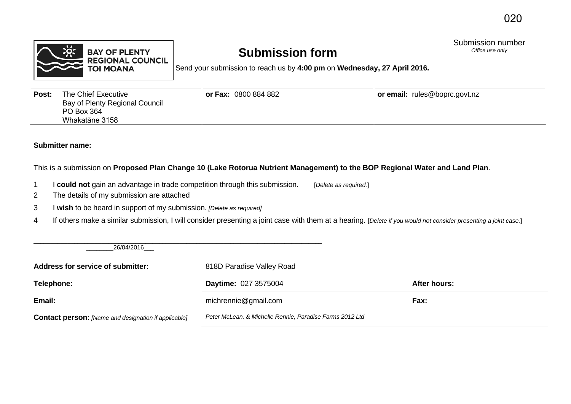

## **Submission form**

Submission number<br>
Office use only

Send your submission to reach us by **4:00 pm** on **Wednesday, 27 April 2016.**

| Post: | The Chief Executive<br>Bay of Plenty Regional Council<br>PO Box 364<br>Whakatāne 3158 | <b>or Fax: 0800 884 882</b> | or email: rules@boprc.govt.nz |
|-------|---------------------------------------------------------------------------------------|-----------------------------|-------------------------------|
|       |                                                                                       |                             |                               |

## **Submitter name:**

This is a submission on **Proposed Plan Change 10 (Lake Rotorua Nutrient Management) to the BOP Regional Water and Land Plan**.

- 1 I **could not** gain an advantage in trade competition through this submission. [*Delete as required.*]
- 2 The details of my submission are attached
- 3 I **wish** to be heard in support of my submission. *[Delete as required]*
- 4 If others make a similar submission, I will consider presenting a joint case with them at a hearing. [*Delete if you would not consider presenting a joint case.*]

 $\_$  , and the set of the set of the set of the set of the set of the set of the set of the set of the set of the set of the set of the set of the set of the set of the set of the set of the set of the set of the set of th \_\_\_\_\_\_\_\_26/04/2016\_\_\_

| Address for service of submitter:                           | 818D Paradise Valley Road                                |              |  |
|-------------------------------------------------------------|----------------------------------------------------------|--------------|--|
| Telephone:                                                  | <b>Daytime: 027 3575004</b>                              | After hours: |  |
| Email:                                                      | michrennie@gmail.com                                     | Fax:         |  |
| <b>Contact person:</b> [Name and designation if applicable] | Peter McLean, & Michelle Rennie, Paradise Farms 2012 Ltd |              |  |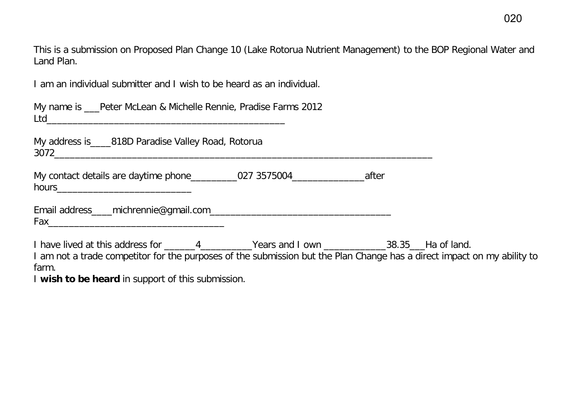This is a submission on Proposed Plan Change 10 (Lake Rotorua Nutrient Management) to the BOP Regional Water and Land Plan.

I am an individual submitter and I wish to be heard as an individual.

|     | My name is ___Peter McLean & Michelle Rennie, Pradise Farms 2012 |
|-----|------------------------------------------------------------------|
| Ltd |                                                                  |

| My address is_ | __818D Paradise Valley Road, Rotorua |
|----------------|--------------------------------------|
| 3072           |                                      |

| My contact details are daytime phone_ | 027 3575004 | after |
|---------------------------------------|-------------|-------|
| hours                                 |             |       |

|  | Email address____michrennie@gmail.com_ |  |
|--|----------------------------------------|--|
|--|----------------------------------------|--|

Fax  $\overline{\phantom{a}}$ 

I have lived at this address for \_\_\_\_\_\_4\_\_\_\_\_\_\_\_\_Years and I own \_\_\_\_\_\_\_\_\_\_\_\_\_38.35\_\_\_Ha of land.

I am not a trade competitor for the purposes of the submission but the Plan Change has a direct impact on my ability to farm.

I **wish to be heard** in support of this submission.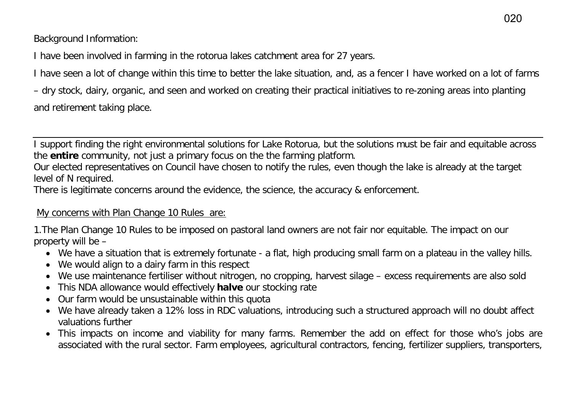Background Information:

I have been involved in farming in the rotorua lakes catchment area for 27 years.

I have seen a lot of change within this time to better the lake situation, and, as a fencer I have worked on a lot of farms

– dry stock, dairy, organic, and seen and worked on creating their practical initiatives to re-zoning areas into planting and retirement taking place.

I support finding the right environmental solutions for Lake Rotorua, but the solutions must be fair and equitable across the **entire** community, not just a primary focus on the the farming platform.

Our elected representatives on Council have chosen to notify the rules, even though the lake is already at the target level of N required.

There is legitimate concerns around the evidence, the science, the accuracy & enforcement.

## My concerns with Plan Change 10 Rules are:

1.The Plan Change 10 Rules to be imposed on pastoral land owners are not fair nor equitable. The impact on our property will be –

- We have a situation that is extremely fortunate a flat, high producing small farm on a plateau in the valley hills.
- We would align to a dairy farm in this respect
- We use maintenance fertiliser without nitrogen, no cropping, harvest silage excess requirements are also sold
- This NDA allowance would effectively **halve** our stocking rate
- Our farm would be unsustainable within this quota
- We have already taken a 12% loss in RDC valuations, introducing such a structured approach will no doubt affect valuations further
- This impacts on income and viability for many farms. Remember the add on effect for those who's jobs are associated with the rural sector. Farm employees, agricultural contractors, fencing, fertilizer suppliers, transporters,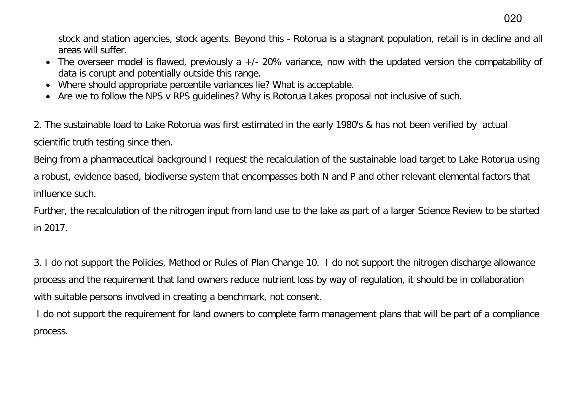stock and station agencies, stock agents. Beyond this - Rotorua is a stagnant population, retail is in decline and all areas will suffer.

- The overseer model is flawed, previously a +/- 20% variance, now with the updated version the compatability of data is corupt and potentially outside this range.
- Where should appropriate percentile variances lie? What is acceptable.
- Are we to follow the NPS v RPS guidelines? Why is Rotorua Lakes proposal not inclusive of such.

2. The sustainable load to Lake Rotorua was first estimated in the early 1980's & has not been verified by actual scientific truth testing since then.

Being from a pharmaceutical background I request the recalculation of the sustainable load target to Lake Rotorua using a robust, evidence based, biodiverse system that encompasses both N and P and other relevant elemental factors that influence such.

Further, the recalculation of the nitrogen input from land use to the lake as part of a larger Science Review to be started in 2017.

3. I do not support the Policies, Method or Rules of Plan Change 10. I do not support the nitrogen discharge allowance process and the requirement that land owners reduce nutrient loss by way of regulation, it should be in collaboration with suitable persons involved in creating a benchmark, not consent.

 I do not support the requirement for land owners to complete farm management plans that will be part of a compliance process.